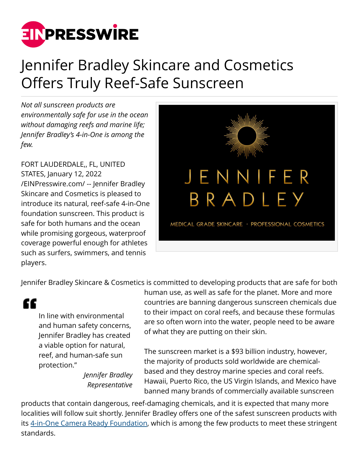

## Jennifer Bradley Skincare and Cosmetics Offers Truly Reef-Safe Sunscreen

*Not all sunscreen products are environmentally safe for use in the ocean without damaging reefs and marine life; Jennifer Bradley's 4-in-One is among the few.*

FORT LAUDERDALE,, FL, UNITED STATES, January 12, 2022 [/EINPresswire.com/](http://www.einpresswire.com) -- Jennifer Bradley Skincare and Cosmetics is pleased to introduce its natural, reef-safe 4-in-One foundation sunscreen. This product is safe for both humans and the ocean while promising gorgeous, waterproof coverage powerful enough for athletes such as surfers, swimmers, and tennis players.



Jennifer Bradley Skincare & Cosmetics is committed to developing products that are safe for both

æ

In line with environmental and human safety concerns, Jennifer Bradley has created a viable option for natural, reef, and human-safe sun protection."

> *Jennifer Bradley Representative*

human use, as well as safe for the planet. More and more countries are banning dangerous sunscreen chemicals due to their impact on coral reefs, and because these formulas are so often worn into the water, people need to be aware of what they are putting on their skin.

The sunscreen market is a \$93 billion industry, however, the majority of products sold worldwide are chemicalbased and they destroy marine species and coral reefs. Hawaii, Puerto Rico, the US Virgin Islands, and Mexico have banned many brands of commercially available sunscreen

products that contain dangerous, reef-damaging chemicals, and it is expected that many more localities will follow suit shortly. Jennifer Bradley offers one of the safest sunscreen products with its [4-in-One Camera Ready Foundation](https://jenniferbradley.com/products/4-in-one-camera-ready-foundation), which is among the few products to meet these stringent standards.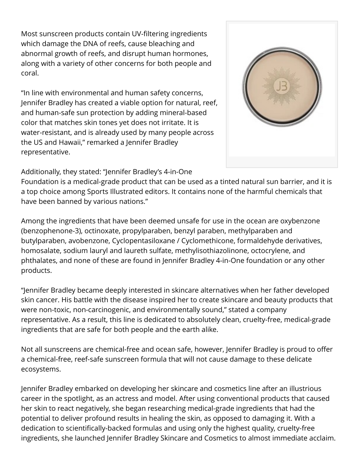Most sunscreen products contain UV-filtering ingredients which damage the DNA of reefs, cause bleaching and abnormal growth of reefs, and disrupt human hormones, along with a variety of other concerns for both people and coral.

"In line with environmental and human safety concerns, Jennifer Bradley has created a viable option for natural, reef, and human-safe sun protection by adding mineral-based color that matches skin tones yet does not irritate. It is water-resistant, and is already used by many people across the US and Hawaii," remarked a Jennifer Bradley representative.



## Additionally, they stated: "Jennifer Bradley's 4-in-One

Foundation is a medical-grade product that can be used as a tinted natural sun barrier, and it is a top choice among Sports Illustrated editors. It contains none of the harmful chemicals that have been banned by various nations."

Among the ingredients that have been deemed unsafe for use in the ocean are oxybenzone (benzophenone-3), octinoxate, propylparaben, benzyl paraben, methylparaben and butylparaben, avobenzone, Cyclopentasiloxane / Cyclomethicone, formaldehyde derivatives, homosalate, sodium lauryl and laureth sulfate, methylisothiazolinone, octocrylene, and phthalates, and none of these are found in Jennifer Bradley 4-in-One foundation or any other products.

"Jennifer Bradley became deeply interested in skincare alternatives when her father developed skin cancer. His battle with the disease inspired her to create skincare and beauty products that were non-toxic, non-carcinogenic, and environmentally sound," stated a company representative. As a result, this line is dedicated to absolutely clean, cruelty-free, medical-grade ingredients that are safe for both people and the earth alike.

Not all sunscreens are chemical-free and ocean safe, however, Jennifer Bradley is proud to offer a chemical-free, reef-safe sunscreen formula that will not cause damage to these delicate ecosystems.

Jennifer Bradley embarked on developing her skincare and cosmetics line after an illustrious career in the spotlight, as an actress and model. After using conventional products that caused her skin to react negatively, she began researching medical-grade ingredients that had the potential to deliver profound results in healing the skin, as opposed to damaging it. With a dedication to scientifically-backed formulas and using only the highest quality, cruelty-free ingredients, she launched Jennifer Bradley Skincare and Cosmetics to almost immediate acclaim.